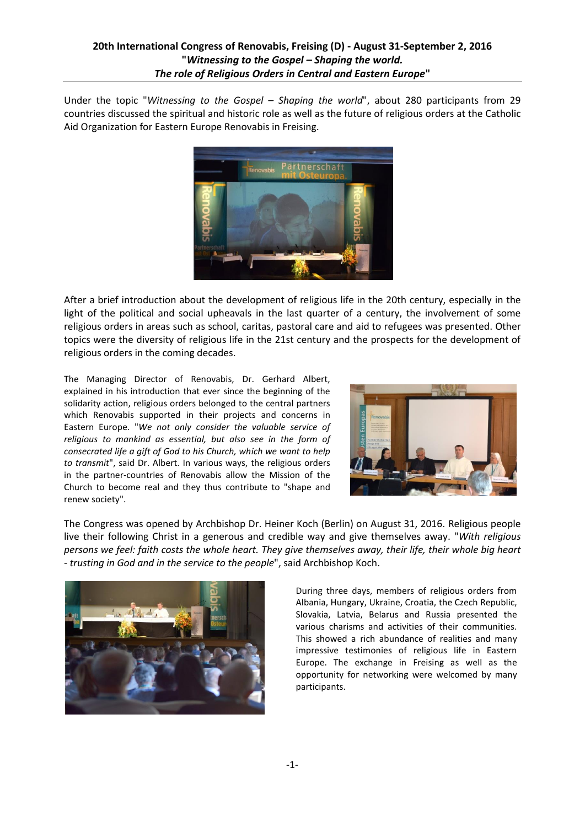Under the topic "*Witnessing to the Gospel – Shaping the world*", about 280 participants from 29 countries discussed the spiritual and historic role as well as the future of religious orders at the Catholic Aid Organization for Eastern Europe Renovabis in Freising.



After a brief introduction about the development of religious life in the 20th century, especially in the light of the political and social upheavals in the last quarter of a century, the involvement of some religious orders in areas such as school, caritas, pastoral care and aid to refugees was presented. Other topics were the diversity of religious life in the 21st century and the prospects for the development of religious orders in the coming decades.

The Managing Director of Renovabis, Dr. Gerhard Albert, explained in his introduction that ever since the beginning of the solidarity action, religious orders belonged to the central partners which Renovabis supported in their projects and concerns in Eastern Europe. "*We not only consider the valuable service of religious to mankind as essential, but also see in the form of consecrated life a gift of God to his Church, which we want to help to transmit*", said Dr. Albert. In various ways, the religious orders in the partner-countries of Renovabis allow the Mission of the Church to become real and they thus contribute to "shape and renew society".



The Congress was opened by Archbishop Dr. Heiner Koch (Berlin) on August 31, 2016. Religious people live their following Christ in a generous and credible way and give themselves away. "*With religious persons we feel: faith costs the whole heart. They give themselves away, their life, their whole big heart - trusting in God and in the service to the people*", said Archbishop Koch.



During three days, members of religious orders from Albania, Hungary, Ukraine, Croatia, the Czech Republic, Slovakia, Latvia, Belarus and Russia presented the various charisms and activities of their communities. This showed a rich abundance of realities and many impressive testimonies of religious life in Eastern Europe. The exchange in Freising as well as the opportunity for networking were welcomed by many participants.